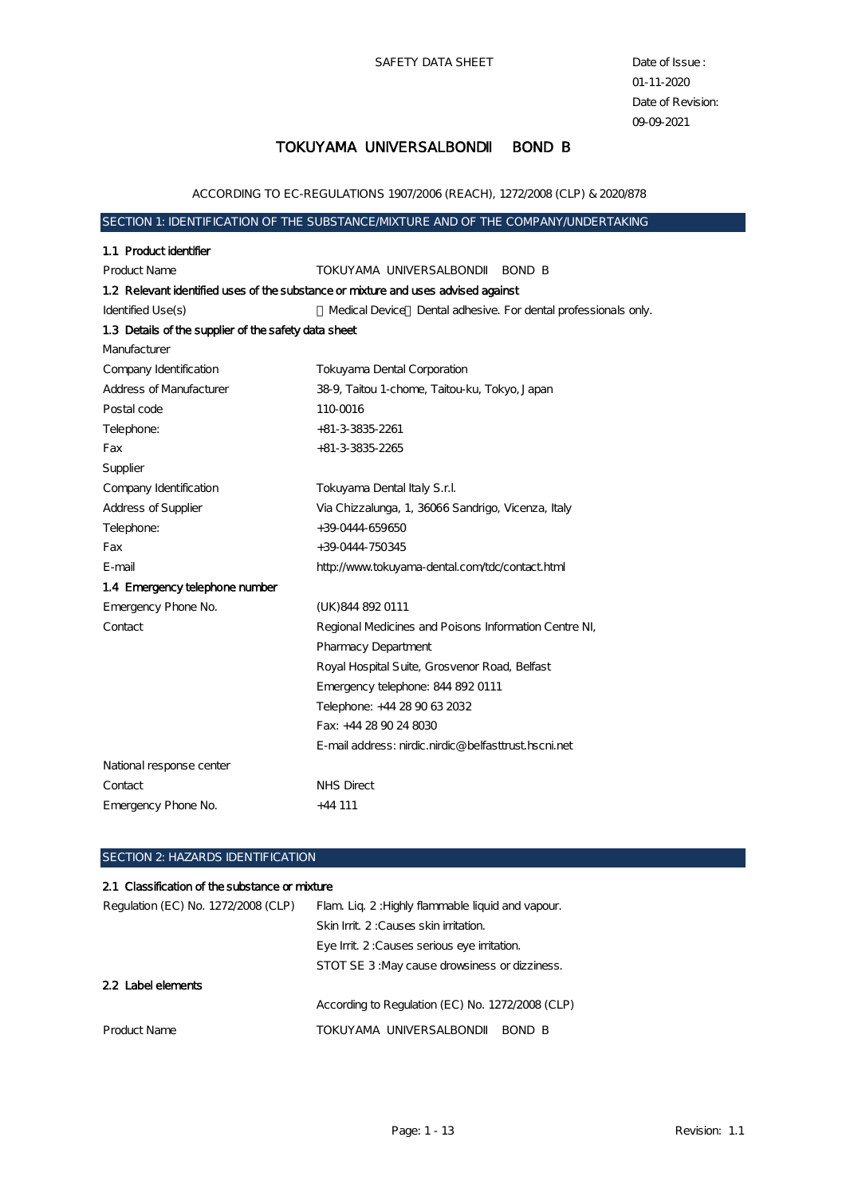SAFETY DATA SHEET Date of Issue :

01-11-2020 Date of Revision: 09-09-2021

### TOKUYAMA UNIVERSALBOND BOND B

ACCORDING TO EC-REGULATIONS 1907/2006 (REACH), 1272/2008 (CLP) & 2020/878

### SECTION 1: IDENTIFICATION OF THE SUBSTANCE MIXTURE AND OF THE COMPANY UNDERTAKING

| 1.1 Product identifier                               |                                                                                   |
|------------------------------------------------------|-----------------------------------------------------------------------------------|
| <b>Product Name</b>                                  | TOKUYAMA UNIVERSALBOND<br>BOND B                                                  |
|                                                      | 1.2 Relevant identified uses of the substance or mixture and uses advised against |
| Identified Use(s)                                    | Medical Device Dental adhesive. For dental professionals only.                    |
| 1.3 Details of the supplier of the safety data sheet |                                                                                   |
| Manufacturer                                         |                                                                                   |
| Company Identification                               | Tokuyama Dental Corporation                                                       |
| <b>Address of Manufacturer</b>                       | 38-9, Taitou 1-chome, Taitou-ku, Tokyo, Japan                                     |
| Postal code                                          | 110-0016                                                                          |
| Telephone:                                           | $+81-3-3835-2261$                                                                 |
| Fax                                                  | $+81-3-3835-2265$                                                                 |
| Supplier                                             |                                                                                   |
| Company Identification                               | Tokuyama Dental Italy S.r.l.                                                      |
| Address of Supplier                                  | Via Chizzalunga, 1, 36066 Sandrigo, Vicenza, Italy                                |
| Telephone:                                           | +39 0444 659650                                                                   |
| Fax                                                  | +39 0444-750345                                                                   |
| E-mail                                               | http://www.tokuyama-dental.com/tdc/contact.html                                   |
| 1.4 Emergency telephone number                       |                                                                                   |
| Emergency Phone No.                                  | (UK) 844 892 0111                                                                 |
| Contact                                              | Regional Medicines and Poisons Information Centre NI,                             |
|                                                      | <b>Pharmacy Department</b>                                                        |
|                                                      | Royal Hospital Suite, Grosvenor Road, Belfast                                     |
|                                                      | Emergency telephone: 844 892 0111                                                 |
|                                                      | Telephone: +44 28 90 63 2032                                                      |
|                                                      | Fax: +44 28 90 24 8030                                                            |
|                                                      | E-mail address: nirdic.nirdic@belfasttrust.hscni.net                              |
| National response center                             |                                                                                   |
| Contact                                              | NHS Direct                                                                        |
| Emergency Phone No.                                  | $+44111$                                                                          |
|                                                      |                                                                                   |

#### SECTION 2: HAZARDS IDENTIFICATION

#### 2.1 Classification of the substance or mixture

| Regulation (EC) No. 1272/2008 (CLP) | Flam. Liq. 2: Highly flammable liquid and vapour. |  |  |
|-------------------------------------|---------------------------------------------------|--|--|
|                                     | Skin Init. 2: Causes skin initation.              |  |  |
|                                     | Eye Init. 2: Causes serious eye initation.        |  |  |
|                                     | STOT SE 3: May cause drowsiness or dizziness.     |  |  |
| 22 Label elements                   |                                                   |  |  |
|                                     | According to Regulation (EC) No. 1272/2008 (CLP)  |  |  |
| Product Name                        | TOKUYAMA UNIVERSALBOND<br>BOND B                  |  |  |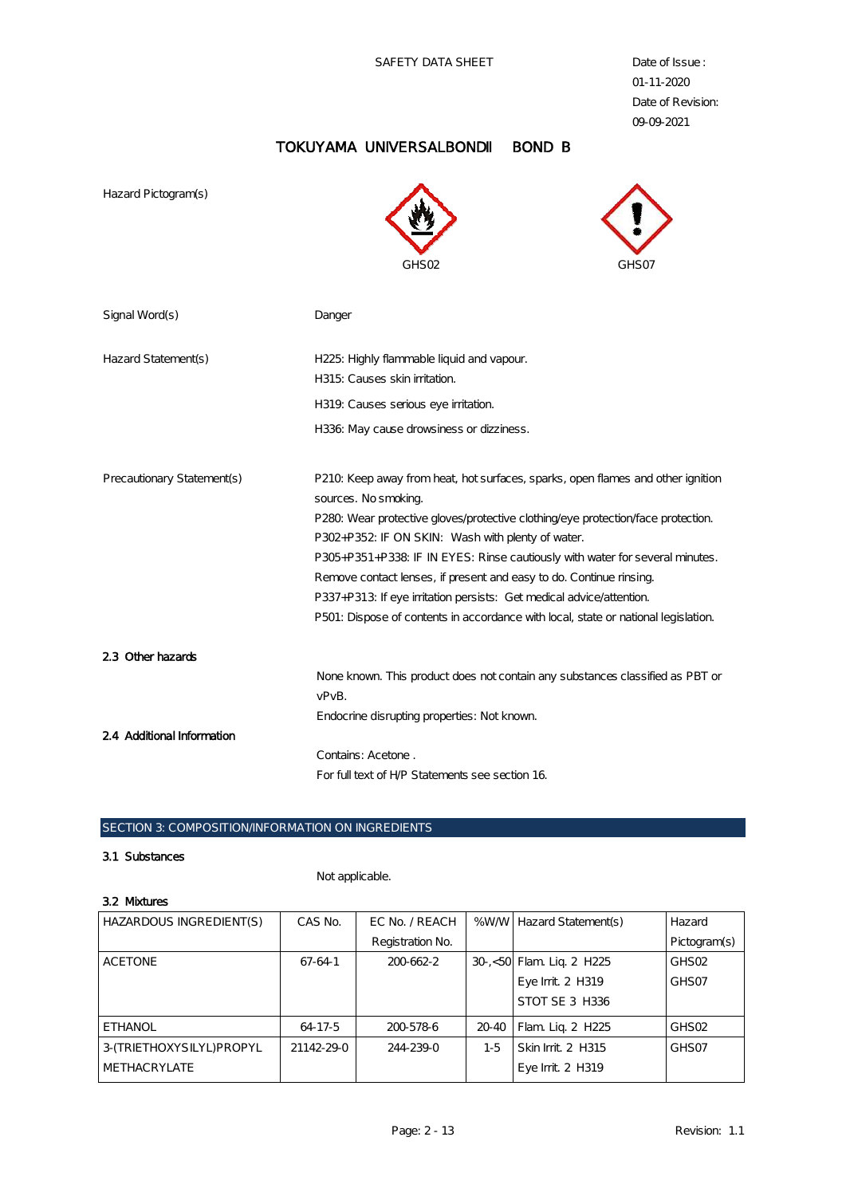# TOKUYAMA UNIVERSALBOND BOND B

| Hazard Pictogram(s)                             | GHS <sub>02</sub><br>GHS07                                                                                                                                                                                                                                                                                                                                                                                                                                                                                                                                           |
|-------------------------------------------------|----------------------------------------------------------------------------------------------------------------------------------------------------------------------------------------------------------------------------------------------------------------------------------------------------------------------------------------------------------------------------------------------------------------------------------------------------------------------------------------------------------------------------------------------------------------------|
| Signal Word(s)                                  | Danger                                                                                                                                                                                                                                                                                                                                                                                                                                                                                                                                                               |
| Hazard Statement(s)                             | H225: Highly flammable liquid and vapour.<br>H315: Causes skin irritation.<br>H319. Causes serious eye irritation.<br>H336 May cause drowsiness or dizziness.                                                                                                                                                                                                                                                                                                                                                                                                        |
| Precautionary Statement(s)                      | P210 Keep away from heat, hot surfaces, sparks, open flames and other ignition<br>sources. No smoking.<br>P280. Wear protective gloves/protective clothing/eye protection/face protection.<br>P302+P352: IF ON SKIN: Wash with plenty of water.<br>P305+P351+P338: IF IN EYES: Rinse cautiously with water for several minutes.<br>Remove contact lenses, if present and easy to do. Continue rinsing.<br>P337+P313: If eye irritation persists: Get medical advice/attention.<br>P501: Dispose of contents in accordance with local, state or national legislation. |
| 2.3 Other hazards<br>2.4 Additional Information | None known. This product does not contain any substances classified as PBT or<br>vPvB.<br>Endocrine disrupting properties: Not known.                                                                                                                                                                                                                                                                                                                                                                                                                                |
|                                                 | Contains: Acetone.<br>For full text of HP Statements see section 16.                                                                                                                                                                                                                                                                                                                                                                                                                                                                                                 |

#### SECTION 3: COMPOSITION/INFORMATION ON INGREDIENTS

#### 3.1 Substances

Not applicable.

#### 3.2 Mixtures

| Hazard            |
|-------------------|
| Pictogram(s)      |
| GHSO2             |
| GHS07             |
|                   |
| GHS <sub>02</sub> |
| GHS <sub>07</sub> |
|                   |
|                   |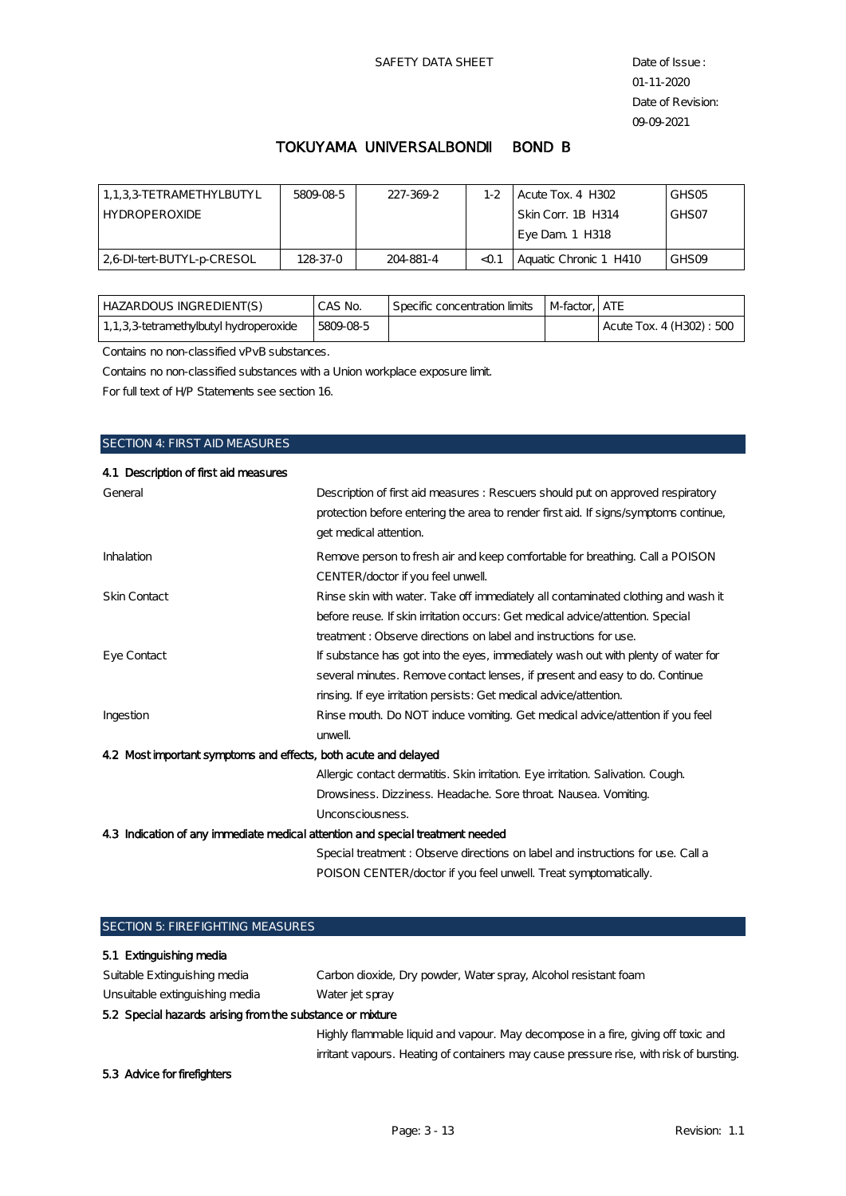### TOKUYAMA UNIVERSALBOND BOND B

| 1.1.3.3 TETRAMETHYLBUTYL  | 5809085  | 227-369-2 | $1-2$ | Acute Tox. 4 H302      | GHS <sub>05</sub> |
|---------------------------|----------|-----------|-------|------------------------|-------------------|
| <b>HYDROPEROXIDE</b>      |          |           |       | l Skin Corr. 1B H314   | GHS <sub>07</sub> |
|                           |          |           |       | Eye Dam. 1 H318        |                   |
| 26 DI-tert-BUTYL-p-CRESOL | 128.37-0 | 204-881-4 | < 0.1 | Aquatic Chronic 1 H410 | GHS <sub>09</sub> |

| HAZARDOUS INGREDIENT(S)                   | CAS No. | Specific concentration limits | M-factor. ATE |                          |
|-------------------------------------------|---------|-------------------------------|---------------|--------------------------|
| 1, 1, 3, 3-tetramethylbutyl hydroperoxide | 5809085 |                               |               | Acute Tox. 4 (H302): 500 |

Contains no non-classified vPvB substances.

Contains no non-classified substances with a Union workplace exposure limit.

For full text of H/P Statements see section 16.

# SECTION 4: FIRST AID MEASURES

| 4.1 Description of first aid measures                                          |                                                                                                                                                                                                   |  |
|--------------------------------------------------------------------------------|---------------------------------------------------------------------------------------------------------------------------------------------------------------------------------------------------|--|
| General                                                                        | Description of first aid measures : Rescuers should put on approved respiratory<br>protection before entering the area to render first aid. If signs symptoms continue,<br>get medical attention. |  |
| <b>Inhalation</b>                                                              | Remove person to fresh air and keep comfortable for breathing. Call a POISON                                                                                                                      |  |
|                                                                                | CENTER/doctor if you feel unwell.                                                                                                                                                                 |  |
| Skin Contact                                                                   | Rinse skin with water. Take off immediately all contaminated clothing and wash it                                                                                                                 |  |
|                                                                                | before reuse. If skin initation occurs: Get medical advice/attention. Special                                                                                                                     |  |
|                                                                                | treatment: Observe directions on label and instructions for use.                                                                                                                                  |  |
| Eye Contact                                                                    | If substance has got into the eyes, immediately wash out with plenty of water for                                                                                                                 |  |
|                                                                                | several minutes. Remove contact lenses, if present and easy to do. Continue                                                                                                                       |  |
|                                                                                | rinsing. If eye irritation persists: Get medical advice/attention.                                                                                                                                |  |
| Ingestion                                                                      | Rinse mouth. Do NOT induce vomiting. Get medical advice/attention if you feel                                                                                                                     |  |
|                                                                                | unwell                                                                                                                                                                                            |  |
| 4.2 Most important symptoms and effects, both acute and delayed                |                                                                                                                                                                                                   |  |
|                                                                                | Allergic contact dermatitis. Skin irritation. Eye irritation. Salivation. Cough.                                                                                                                  |  |
|                                                                                | Drowsiness. Dizziness. Headache. Sore throat. Nausea. Vomiting.                                                                                                                                   |  |
|                                                                                | Unconsciousness.                                                                                                                                                                                  |  |
| 4.3 Indication of any immediate medical attention and special treatment needed |                                                                                                                                                                                                   |  |
|                                                                                | Special treatment: Observe directions on label and instructions for use. Call a                                                                                                                   |  |
|                                                                                | POISON CENTER/doctor if you feel unwell. Treat symptomatically.                                                                                                                                   |  |

| <b>SECTION 5: FIREFIGHTING MEASURES</b>                   |                                                                                         |  |  |
|-----------------------------------------------------------|-----------------------------------------------------------------------------------------|--|--|
| 5.1 Extinguishing media                                   |                                                                                         |  |  |
| Suitable Extinguishing media                              | Carbon dioxide, Dry powder, Water spray, Alcohol resistant foam                         |  |  |
| Unsuitable extinguishing media                            | Water jet spray                                                                         |  |  |
| 5.2 Special hazards arising from the substance or mixture |                                                                                         |  |  |
|                                                           | Highly flammable liquid and vapour. May decompose in a fire, giving off toxic and       |  |  |
|                                                           | irritant vapours. Heating of containers may cause pressure rise, with risk of bursting. |  |  |
| 5.3 Advice for firefighters                               |                                                                                         |  |  |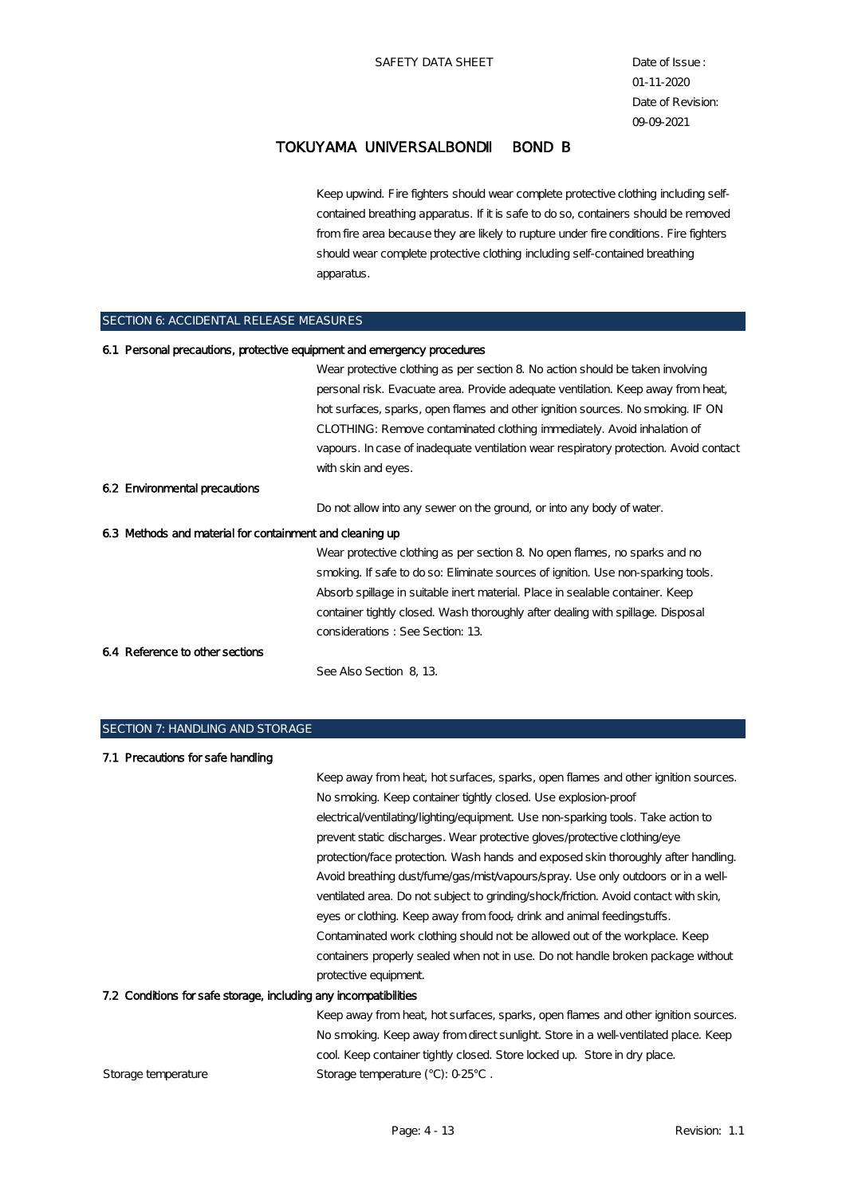Keep upwind. Fire fighters should wear complete protective clothing including selfcontained breathing apparatus. If it is safe to do so, containers should be removed from fire area because they are likely to rupture under fire conditions. Fire fighters should wear complete protective clothing including self-contained breathing apparatus.

#### SECTION 6: ACCIDENTAL RELEASE MEASURES

| 6.1 Personal precautions, protective equipment and emergency procedures |                                                                                       |
|-------------------------------------------------------------------------|---------------------------------------------------------------------------------------|
|                                                                         | Wear protective clothing as per section 8 No action should be taken involving         |
|                                                                         | personal risk. Evacuate area. Provide adequate ventilation. Keep away from heat,      |
|                                                                         | hot surfaces, sparks, open flames and other ignition sources. No smoking. IF ON       |
|                                                                         | CLOTHING: Remove contaminated clothing immediately. Avoid inhalation of               |
|                                                                         | vapours. In case of inadequate ventilation wear respiratory protection. Avoid contact |
|                                                                         | with skin and eyes.                                                                   |
| 6.2 Environmental precautions                                           |                                                                                       |
|                                                                         | Do not allow into any sewer on the ground, or into any body of water.                 |
| 6.3 Methods and material for containment and cleaning up                |                                                                                       |
|                                                                         | Wear protective clothing as per section 8 No open flames, no sparks and no            |
|                                                                         | smoking. If safe to do so: Eliminate sources of ignition. Use non-sparking tools.     |
|                                                                         | Absorb spillage in suitable inert material. Place in sealable container. Keep         |
|                                                                         | container tightly closed. Wash thoroughly after dealing with spillage. Disposal       |
|                                                                         | considerations: See Section: 13                                                       |
| 6.4 Reference to other sections                                         |                                                                                       |
|                                                                         | See Also Section 8, 13.                                                               |

## SECTION 7: HANDLING AND STORAGE

| 7.1 Precautions for safe handling                                |                                                                                      |
|------------------------------------------------------------------|--------------------------------------------------------------------------------------|
|                                                                  | Keep away from heat, hot surfaces, sparks, open flames and other ignition sources.   |
|                                                                  | No smoking. Keep container tightly closed. Use explosion-proof                       |
|                                                                  | electrical/ventilating/lighting/equipment. Use non-sparking tools. Take action to    |
|                                                                  | prevent static discharges. Wear protective gloves/protective clothing/eye            |
|                                                                  | protection/face protection. Wash hands and exposed skin thoroughly after handling.   |
|                                                                  | Avoid breathing dust/fume/gas/mist/vapours/spray. Use only outdoors or in a well-    |
|                                                                  | ventilated area. Do not subject to grinding/shock/friction. Avoid contact with skin, |
|                                                                  | eyes or clothing. Keep away from food, drink and animal feedingstuffs.               |
|                                                                  | Contaminated work clothing should not be allowed out of the workplace. Keep          |
|                                                                  | containers properly sealed when not in use. Do not handle broken package without     |
|                                                                  | protective equipment.                                                                |
| 7.2 Conditions for safe storage, including any incompatibilities |                                                                                      |
|                                                                  | Keep away from heat, hot surfaces, sparks, open flames and other ignition sources.   |
|                                                                  | No smoking. Keep away from direct sunlight. Store in a well-ventilated place. Keep   |
|                                                                  | cool Keep container tightly closed. Store locked up. Store in dry place.             |
| Storage temperature                                              | Storage temperature $(°C)$ : $0.25°C$ .                                              |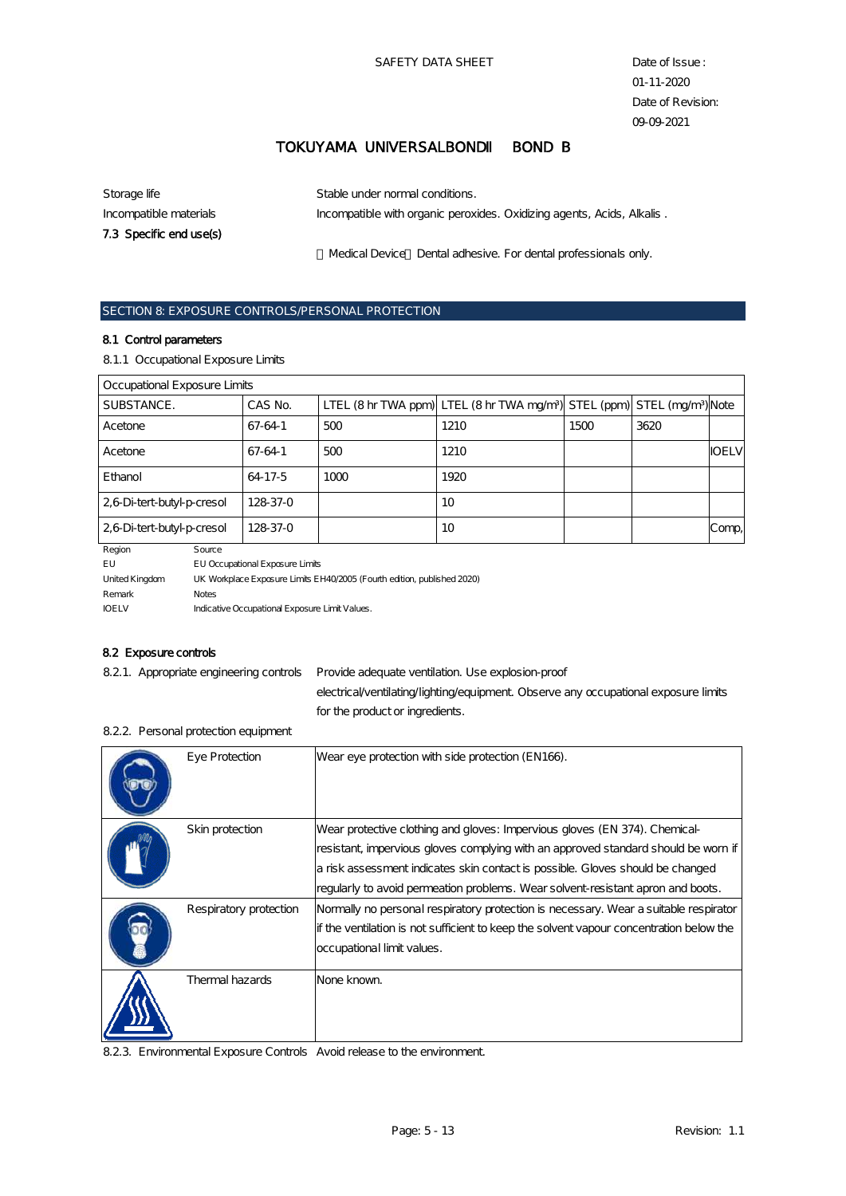| Storage life            | Stable under normal conditions.                                        |
|-------------------------|------------------------------------------------------------------------|
| Incompatible materials  | Incompatible with organic peroxides. Oxidizing agents, Acids, Alkalis. |
| 7.3 Specific end use(s) |                                                                        |
|                         | Medical Device Dental adhesive. For dental professionals only.         |

# SECTION 8: EXPOSURE CONTROLS/PERSONAL PROTECTION

#### 8.1 Control parameters

8.1.1 Occupational Exposure Limits

| Occupational Exposure Limits |          |      |                                                                                                  |      |      |              |
|------------------------------|----------|------|--------------------------------------------------------------------------------------------------|------|------|--------------|
| SUBSTANCE.                   | CAS No.  |      | LTEL (8 hr TWA ppm) LTEL (8 hr TWA mg/m <sup>3</sup> ) STEL (ppm) STEL (mg/m <sup>3</sup> ) Note |      |      |              |
| Acetone                      | 67-64-1  | 500  | 1210                                                                                             | 1500 | 3620 |              |
| Acetone                      | 67-64-1  | 500  | 1210                                                                                             |      |      | <b>IOELV</b> |
| Ethanol                      | 64-17-5  | 1000 | 1920                                                                                             |      |      |              |
| 2,6 Di-tert-butyl-p-cresol   | 128.37-0 |      | 10                                                                                               |      |      |              |
| 2,6 Di-tert-butyl-p-cresol   | 128-37-0 |      | 10                                                                                               |      |      | Comp,        |

| Region         | Source                                                                  |
|----------------|-------------------------------------------------------------------------|
| EU             | <b>EU Occupational Exposure Limits</b>                                  |
| United Kingdom | UK Workplace Exposure Limits EH40/2005 (Fourth edition, published 2020) |
| Remark         | <b>Notes</b>                                                            |
| <b>IOELV</b>   | Indicative Occupational Exposure Limit Values.                          |

#### 8.2 Exposure controls

8.2.1. Appropriate engineering controls Provide adequate ventilation. Use explosion-proof

electrical/ventilating/lighting/equipment. Observe any occupational exposure limits for the product or ingredients.

| <b>Eye Protection</b>  | Wear eye protection with side protection (EN166).                                                                                                                                                                                                                                                                                     |
|------------------------|---------------------------------------------------------------------------------------------------------------------------------------------------------------------------------------------------------------------------------------------------------------------------------------------------------------------------------------|
| Skin protection        | Wear protective clothing and gloves: Impervious gloves (EN 374). Chemical-<br>resistant, impervious gloves complying with an approved standard should be worn if<br>a risk assessment indicates skin contact is possible. Gloves should be changed<br>regularly to avoid permeation problems. Wear solvent-resistant apron and boots. |
| Respiratory protection | Normally no personal respiratory protection is necessary. Wear a suitable respirator<br>If the ventilation is not sufficient to keep the solvent vapour concentration below the<br>occupational limit values.                                                                                                                         |
| Thermal hazards        | None known.                                                                                                                                                                                                                                                                                                                           |

#### 8.2.2. Personal protection equipment

8.2.3. Environmental Exposure Controls Avoid release to the environment.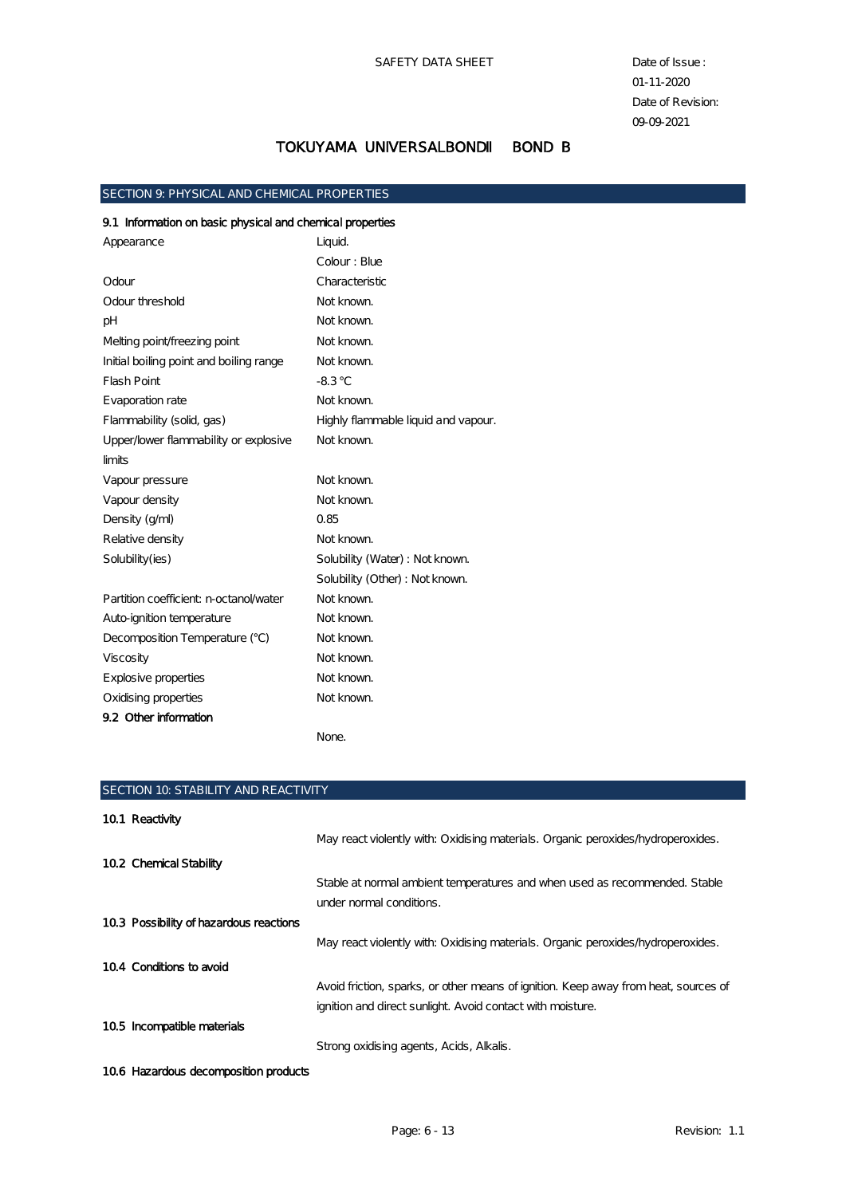#### SECTION 9: PHYSICAL AND CHEMICAL PROPERTIES

# 9.1 Information on basic physical and chemical properties

| Appearance                              | Liquid.                             |
|-----------------------------------------|-------------------------------------|
|                                         | Colour: Blue                        |
| Odour                                   | Characteristic                      |
| Odour threshold                         | Not known.                          |
| pH                                      | Not known.                          |
| Melting point/freezing point            | Not known.                          |
| Initial boiling point and boiling range | Not known.                          |
| <b>Flash Point</b>                      | $-8.3$                              |
| Evaporation rate                        | Not known.                          |
| Flammability (solid, gas)               | Highly flammable liquid and vapour. |
| Upper/lower flammability or explosive   | Not known.                          |
| limits                                  |                                     |
| Vapour pressure                         | Not known.                          |
| Vapour density                          | Not known.                          |
| Density (g/ml)                          | 0.85                                |
| Relative density                        | Not known.                          |
| Solubility(ies)                         | Solubility (Water) : Not known.     |
|                                         | Solubility (Other) : Not known.     |
| Partition coefficient: n-octanol/water  | Not known.                          |
| Auto-ignition temperature               | Not known.                          |
| Decomposition Temperature ()            | Not known.                          |
| Viscosity                               | Not known.                          |
| Explosive properties                    | Not known.                          |
| Oxidising properties                    | Not known.                          |
| 9.2 Other information                   |                                     |
|                                         | None.                               |

| <b>SECTION 10. STABILITY AND REACTIVITY</b> |                                                                                     |  |
|---------------------------------------------|-------------------------------------------------------------------------------------|--|
| 10.1 Reactivity                             |                                                                                     |  |
|                                             | May react violently with: Oxidising materials. Organic peroxides hydroperoxides.    |  |
| 10.2 Chemical Stability                     |                                                                                     |  |
|                                             | Stable at normal ambient temperatures and when used as recommended. Stable          |  |
|                                             | under normal conditions.                                                            |  |
| 10.3 Possibility of hazardous reactions     |                                                                                     |  |
|                                             | May react violently with: Oxidising materials. Organic peroxides/hydroperoxides.    |  |
| 10.4 Conditions to avoid                    |                                                                                     |  |
|                                             | Avoid friction, sparks, or other means of ignition. Keep away from heat, sources of |  |
|                                             | ignition and direct sunlight. Avoid contact with moisture.                          |  |
| $10.5$ Incompatible materials               |                                                                                     |  |
|                                             | Strong oxidising agents, Acids, Alkalis.                                            |  |

## 10.6 Hazardous decomposition products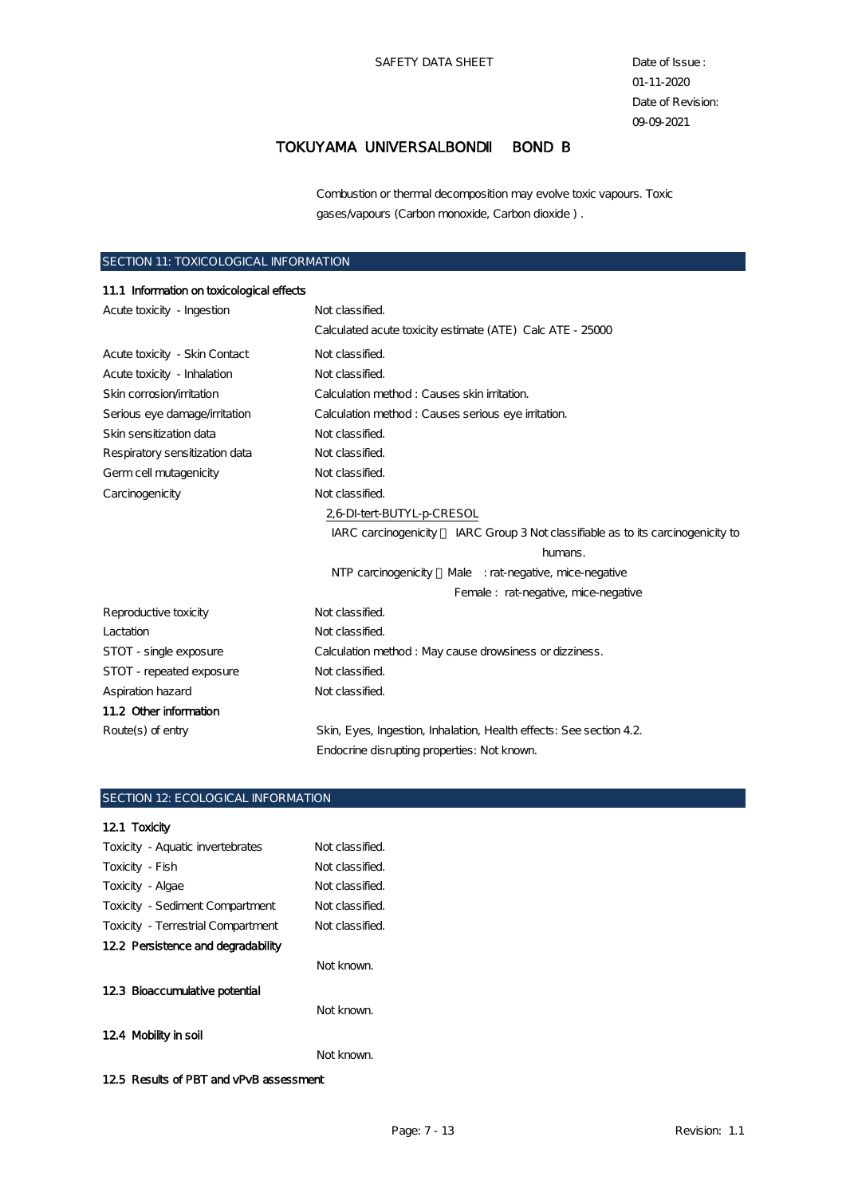Combustion or thermal decomposition may evolve toxic vapours. Toxic gases/vapours (Carbon monoxide, Carbon dioxide ) .

### SECTION 11: TOXICOLOGICAL INFORMATION

| 11.1 Information on toxicological effects     |                                                                                    |  |
|-----------------------------------------------|------------------------------------------------------------------------------------|--|
| Not classified.<br>Acute toxicity - Ingestion |                                                                                    |  |
|                                               | Calculated acute toxicity estimate (ATE) Calc ATE - 25000                          |  |
| Acute toxicity - Skin Contact                 | Not classified.                                                                    |  |
| Acute toxicity - Inhalation                   | Not classified.                                                                    |  |
| Skin corrosion/irritation                     | Calculation method: Causes skin irritation.                                        |  |
| Serious eye damage/irritation                 | Calculation method: Causes serious eye initation.                                  |  |
| Skin sensitization data                       | Not classified.                                                                    |  |
| Respiratory sensitization data                | Not classified.                                                                    |  |
| Germ cell mutagenicity                        | Not classified.                                                                    |  |
| Carcinogenicity                               | Not classified.                                                                    |  |
|                                               | 2,6 DI-tert-BUTYL-p-CRESOL                                                         |  |
|                                               | IARC carcinogenicity<br>IARC Group 3 Not classifiable as to its carcinogenicity to |  |
|                                               | humans.                                                                            |  |
|                                               | NTP carcinogenicity<br>Male : rat-negative, mice-negative                          |  |
|                                               | Female: rat-negative, mice-negative                                                |  |
| Reproductive toxicity                         | Not classified.                                                                    |  |
| Lactation                                     | Not classified.                                                                    |  |
| STOT - single exposure                        | Calculation method: May cause drowsiness or dizziness.                             |  |
| STOT - repeated exposure                      | Not classified.                                                                    |  |
| Aspiration hazard                             | Not classified.                                                                    |  |
| 11.2 Other information                        |                                                                                    |  |
| $Route(s)$ of entry                           | Skin, Eyes, Ingestion, Inhalation, Health effects: See section 4.2.                |  |
|                                               | Endocrine disrupting properties: Not known.                                        |  |

### SECTION 12: ECOLOGICAL INFORMATION

# 12.1 Toxicity Toxicity - Aquatic invertebrates Not classified.

| Toxicity - Fish                              | Not classified. |
|----------------------------------------------|-----------------|
| Toxicity - Algae                             | Not classified. |
| <b>Toxicity</b> - Sediment Compartment       | Not classified. |
| Toxicity - Terrestrial Compartment           | Not classified. |
| 12.2 Persistence and degradability           |                 |
|                                              | Not known.      |
| 12.3 Bioaccumulative potential               |                 |
|                                              | Not known.      |
| 12.4 Mobility in soil                        |                 |
|                                              | Not known.      |
| $\mathbf{r}$ is commentary that $\mathbf{r}$ |                 |

12.5 Results of PBT and vPvB assessment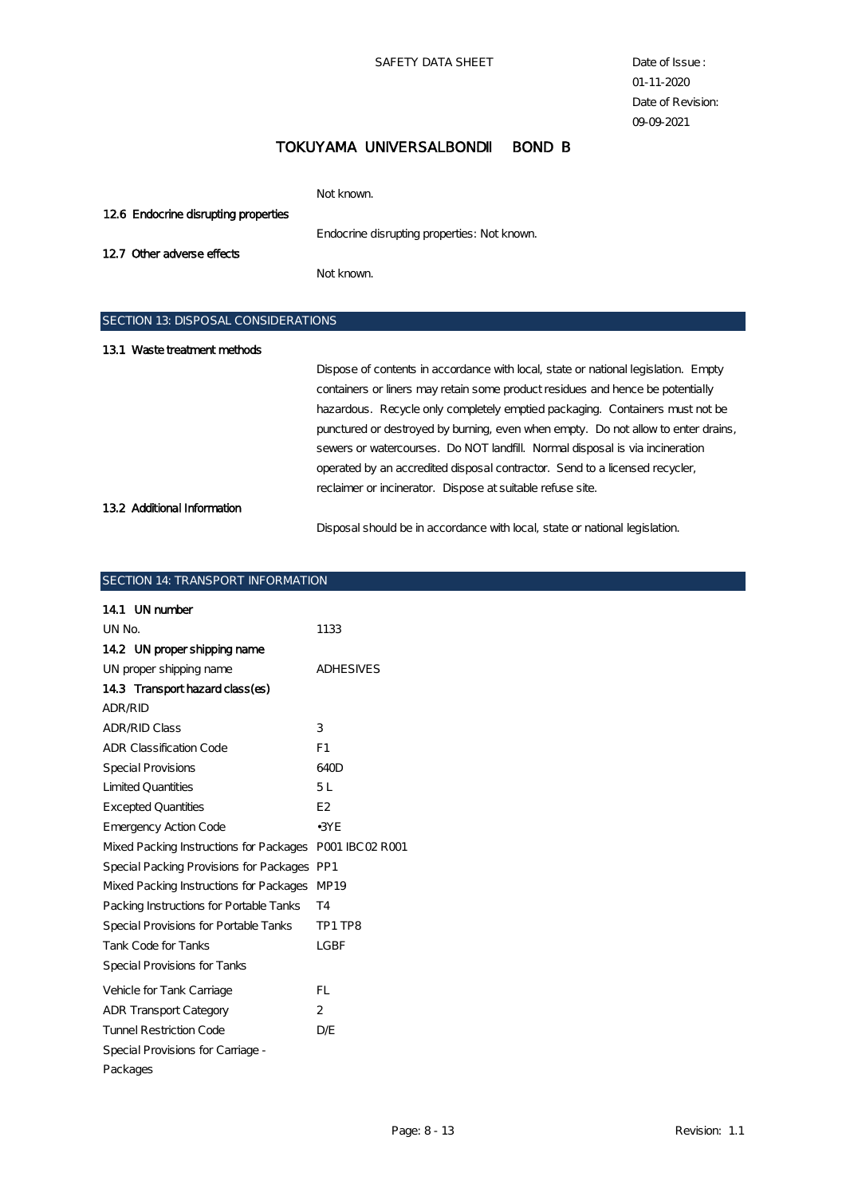SAFETY DATA SHEET Date of Issue :

01-11-2020 Date of Revision: 09-09-2021

# TOKUYAMA UNIVERSALBOND BOND B

|                                           | Not known.                                  |
|-------------------------------------------|---------------------------------------------|
| 126 Endocrine disrupting properties       |                                             |
|                                           | Endocrine disrupting properties: Not known. |
| 12.7 Other adverse effects                |                                             |
|                                           | Not known.                                  |
|                                           |                                             |
| <b>SECTION 13 DISPOSAL CONSIDERATIONS</b> |                                             |

| 13.1 Waste treatment methods |                                                                                    |  |  |
|------------------------------|------------------------------------------------------------------------------------|--|--|
|                              | Dispose of contents in accordance with local, state or national legislation. Empty |  |  |
|                              | containers or liners may retain some product residues and hence be potentially     |  |  |
|                              | hazardous. Recycle only completely emptied packaging. Containers must not be       |  |  |
|                              | punctured or destroyed by burning, even when empty. Do not allow to enter drains,  |  |  |
|                              | sewers or watercourses. Do NOT landfill Normal disposal is via incineration        |  |  |
|                              | operated by an accredited disposal contractor. Send to a licensed recycler,        |  |  |
|                              | reclaimer or incinerator. Dispose at suitable refuse site.                         |  |  |
| 13.2 Additional Information  |                                                                                    |  |  |
|                              | Disposal should be in accordance with local, state or national legislation.        |  |  |

### SECTION 14: TRANSPORT INFORMATION

 $\overline{\phantom{a}}$ 

| 14.1 UN number                                          |                  |
|---------------------------------------------------------|------------------|
| UN No.                                                  | 1133             |
| 14.2 UN proper shipping name                            |                  |
| UN proper shipping name                                 | <b>ADHESIVES</b> |
| 143 Transport hazard class (es)                         |                  |
| ADR/RID                                                 |                  |
| <b>ADR/RID Class</b>                                    | 3                |
| <b>ADR Classification Code</b>                          | F1               |
| <b>Special Provisions</b>                               | 640D             |
| <b>Limited Quantities</b>                               | 5L               |
| <b>Excepted Quantities</b>                              | E <sub>2</sub>   |
| <b>Emergency Action Code</b>                            | $-3YE$           |
| Mixed Packing Instructions for Packages P001 IBC02 R001 |                  |
| Special Packing Provisions for Packages PP1             |                  |
| Mixed Packing Instructions for Packages MP19            |                  |
| Packing Instructions for Portable Tanks                 | T4               |
| Special Provisions for Portable Tanks                   | TP1 TP8          |
| <b>Tank Code for Tanks</b>                              | <b>LGBF</b>      |
| Special Provisions for Tanks                            |                  |
| Vehicle for Tank Carriage                               | FL.              |
| <b>ADR Transport Category</b>                           | $\mathbf{2}$     |
| <b>Tunnel Restriction Code</b>                          | D/E              |
| Special Provisions for Carriage -                       |                  |
| Packages                                                |                  |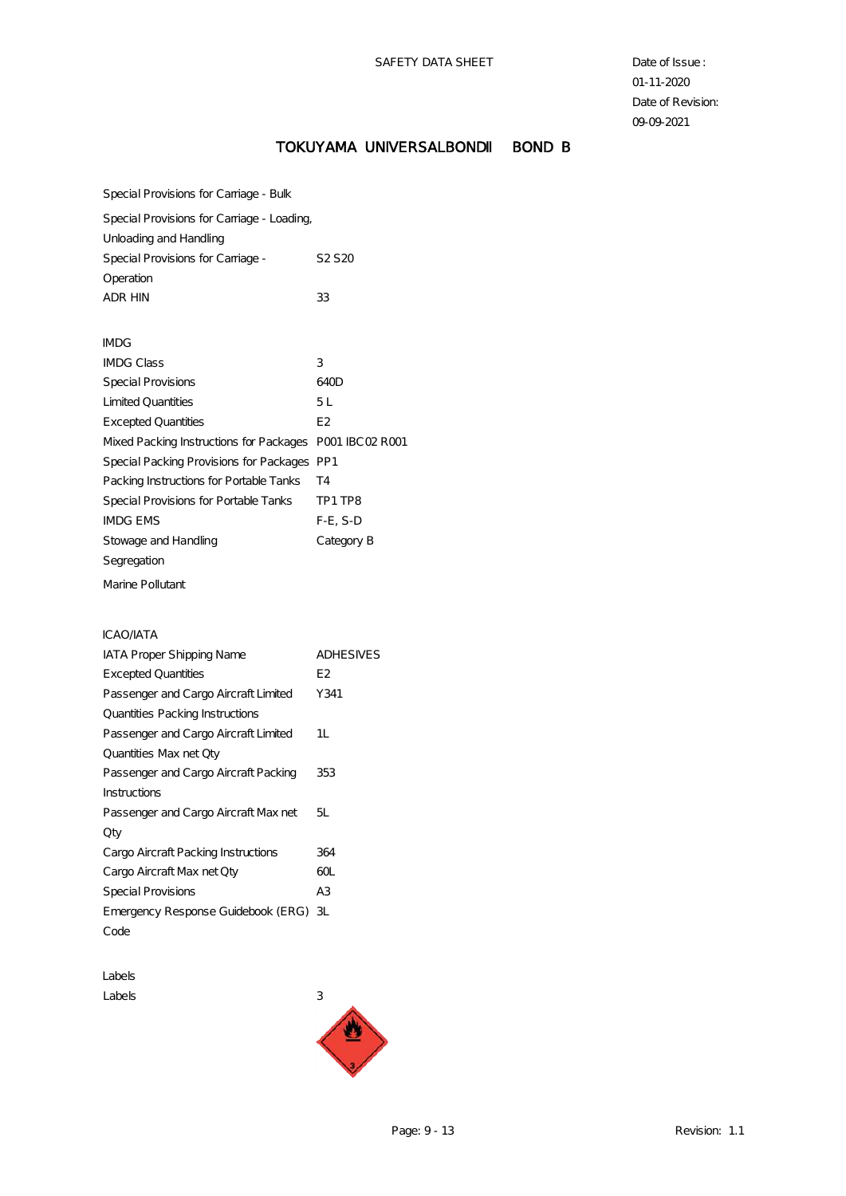# TOKUYAMA UNIVERSALBOND BOND B

Special Provisions for Carriage - Bulk

Special Provisions for Carriage - Loading,

| Unloading and Handling            |                                |
|-----------------------------------|--------------------------------|
| Special Provisions for Carriage - | S <sub>2</sub> S <sub>20</sub> |
| Operation                         |                                |
| ADR HIN                           | 33                             |

| <b>IMDG</b>                                             |                |
|---------------------------------------------------------|----------------|
| <b>IMDG</b> Class                                       | 3              |
| Special Provisions                                      | 640D           |
| <b>Limited Quantities</b>                               | 5 L            |
| <b>Excepted Quantities</b>                              | E <sub>2</sub> |
| Mixed Packing Instructions for Packages P001 IBC02 R001 |                |
| Special Packing Provisions for Packages PP1             |                |
| Packing Instructions for Portable Tanks                 | T4             |
| Special Provisions for Portable Tanks                   | TP1 TP8        |
| <b>IMDG EMS</b>                                         | $F-E. S-D$     |
| Stowage and Handling                                    | Category B     |
| Segregation                                             |                |
|                                                         |                |

Marine Pollutant

#### ICAO/IATA

| <b>IATA Proper Shipping Name</b>      | <b>ADHESIVES</b> |
|---------------------------------------|------------------|
| <b>Excepted Quantities</b>            | E2               |
| Passenger and Cargo Aircraft Limited  | Y341             |
| Quantities Packing Instructions       |                  |
| Passenger and Cargo Aircraft Limited  | 1L               |
| Quantities Max net Qty                |                  |
| Passenger and Cargo Aircraft Packing  | 353              |
| Instructions                          |                  |
| Passenger and Cargo Aircraft Max net  | 51.              |
| Qty                                   |                  |
| Cargo Aircraft Packing Instructions   | 364              |
| Cargo Aircraft Max net Qty            | 60L              |
| Special Provisions                    | A3               |
| Emergency Response Guidebook (ERG) 3L |                  |
| Code                                  |                  |

Labels  $\text{Labels}$  3

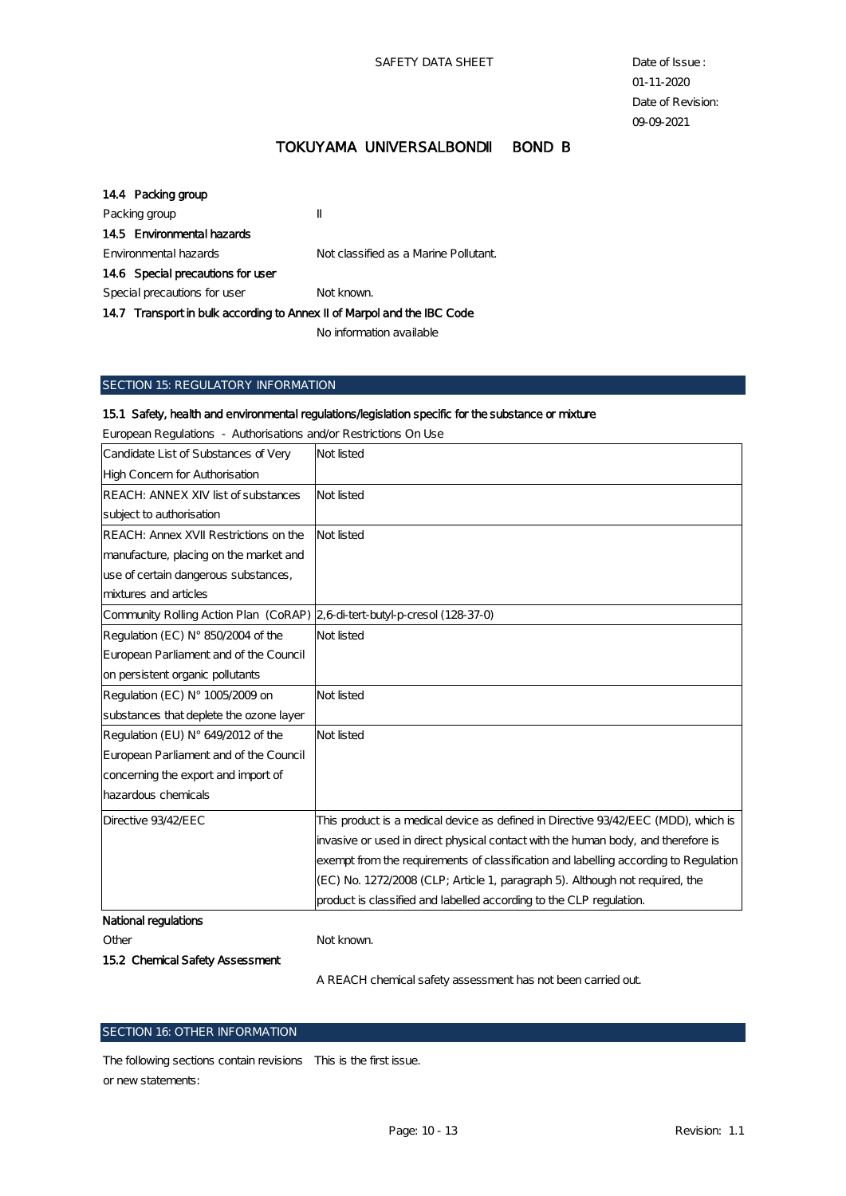| 144 Packing group                                                      |                                       |
|------------------------------------------------------------------------|---------------------------------------|
| Packing group                                                          | π                                     |
| 145 Environmental hazards                                              |                                       |
| Environmental hazards                                                  | Not classified as a Marine Pollutant. |
| 146 Special precautions for user                                       |                                       |
| Special precautions for user                                           | Not known.                            |
| 147 Transport in bulk according to Annex II of Marpol and the IBC Code |                                       |
|                                                                        |                                       |

No information available

#### SECTION 15: REGULATORY INFORMATION

#### 15.1 Safety, health and environmental regulations/legislation specific for the substance or mixture

| Luighan Régulators — Authorisations di tour resultations on esc             |                                                                                      |
|-----------------------------------------------------------------------------|--------------------------------------------------------------------------------------|
| Candidate List of Substances of Very                                        | Not listed                                                                           |
| High Concern for Authorisation                                              |                                                                                      |
| REACH: ANNEX XIV list of substances                                         | Not listed                                                                           |
| subject to authorisation                                                    |                                                                                      |
| REACH: Annex XVII Restrictions on the                                       | Not listed                                                                           |
| manufacture, placing on the market and                                      |                                                                                      |
| use of certain dangerous substances,                                        |                                                                                      |
| mixtures and articles                                                       |                                                                                      |
| Community Rolling Action Plan (CoRAP) 2,6 di-tert-butyl-p-cresol (128-37-0) |                                                                                      |
| Regulation (EC) N° 850/2004 of the                                          | Not listed                                                                           |
| European Parliament and of the Council                                      |                                                                                      |
| on persistent organic pollutants                                            |                                                                                      |
| Regulation (EC) N° 1005/2009 on                                             | Not listed                                                                           |
| substances that deplete the ozone layer                                     |                                                                                      |
| Regulation (EU) N° 649/2012 of the                                          | Not listed                                                                           |
| European Parliament and of the Council                                      |                                                                                      |
| concerning the export and import of                                         |                                                                                      |
| hazardous chemicals                                                         |                                                                                      |
| Directive 93/42/EEC                                                         | This product is a medical device as defined in Directive 93/42/EEC (MDD), which is   |
|                                                                             | invasive or used in direct physical contact with the human body, and therefore is    |
|                                                                             | exempt from the requirements of classification and labelling according to Regulation |
|                                                                             | (EC) No. 1272/2008 (CLP; Article 1, paragraph 5). Although not required, the         |
|                                                                             | product is classified and labelled according to the CLP regulation.                  |
| National regulations                                                        |                                                                                      |
| Other                                                                       | Not known.                                                                           |

European Regulations - Authorisations and/or Restrictions On Use

15.2 Chemical Safety Assessment

A REACH chemical safety assessment has not been carried out.

### SECTION 16: OTHER INFORMATION

The following sections contain revisions This is the first issue.or new statements: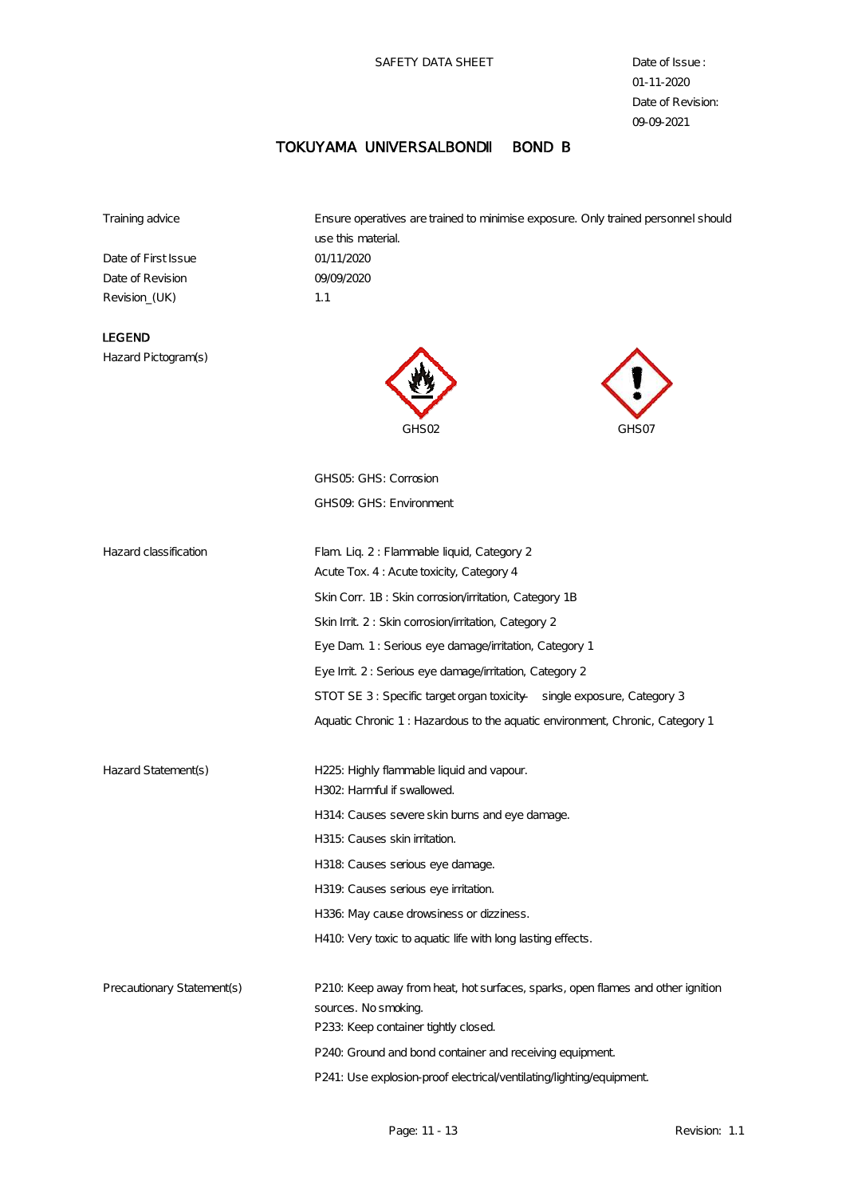# TOKUYAMA UNIVERSALBOND BOND B

Training advice Ensure operatives are trained to minimise exposure. Only trained personnel should

Date of First Issue 01/11/2020 Date of Revision 09/09/2020 Revision\_(UK) 1.1

use this material.

# LEGEND

Hazard Pictogram(s)





GHS05: GHS: Corrosion GHS09: GHS: Environment

| Hazard classification      | Flam Liq. 2: Flammable liquid, Category 2                                       |
|----------------------------|---------------------------------------------------------------------------------|
|                            | Acute Tox. 4: Acute toxicity, Category 4                                        |
|                            | Skin Corr. 1B: Skin corrosion/irritation, Category 1B                           |
|                            | Skin Irrit. 2: Skin corrosion/irritation, Category 2                            |
|                            | Eye Dam 1: Serious eye damage/irritation, Category 1                            |
|                            | Eye Irrit. 2: Serious eye damage/irritation, Category 2                         |
|                            | STOT SE 3: Specific target organ toxicity - single exposure, Category 3         |
|                            | Aquatic Chronic 1: Hazardous to the aquatic environment, Chronic, Category 1    |
|                            |                                                                                 |
| Hazard Statement(s)        | H225: Highly flammable liquid and vapour.                                       |
|                            | H302: Harmful if swallowed.                                                     |
|                            | H314: Causes severe skin burns and eye damage.                                  |
|                            | H315: Causes skin initation.                                                    |
|                            | H318 Causes serious eye damage.                                                 |
|                            | H319. Causes serious eye irritation.                                            |
|                            | H336: May cause drowsiness or dizziness.                                        |
|                            | H410. Very toxic to aquatic life with long lasting effects.                     |
|                            |                                                                                 |
| Precautionary Statement(s) | P210. Keep away from heat, hot surfaces, sparks, open flames and other ignition |
|                            | sources. No smoking.                                                            |
|                            | P233: Keep container tightly closed.                                            |
|                            | P240. Ground and bond container and receiving equipment.                        |
|                            | P241: Use explosion-proof electrical/ventilating/ighting/equipment.             |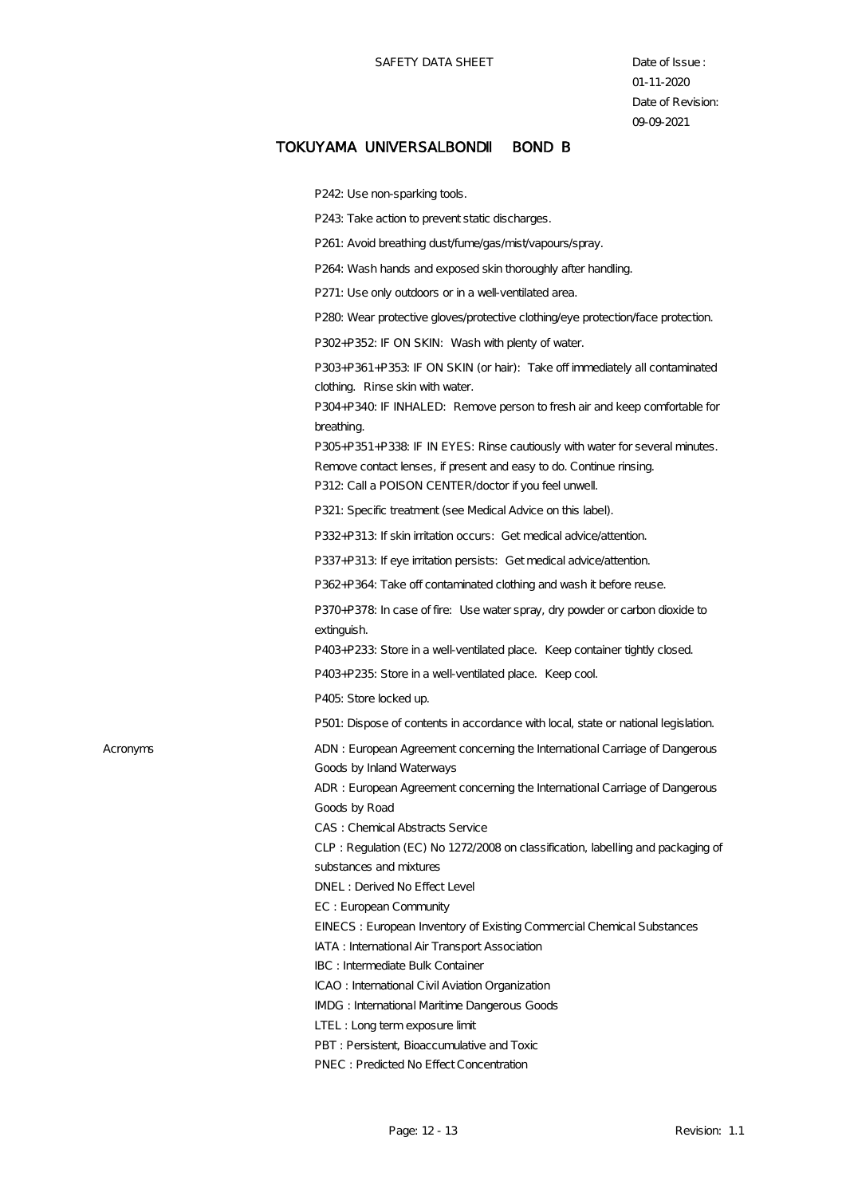P<sub>242</sub>: Use non-sparking tools.

P243: Take action to prevent static discharges.

P261: Avoid breathing dust/fume/gas/mist/vapours/spray.

P264: Wash hands and exposed skin thoroughly after handling.

P271: Use only outdoors or in a well-ventilated area.

P280: Wear protective gloves/protective clothing/eye protection/face protection.

P302+P352: IF ON SKIN: Wash with plenty of water.

P303+P361+P353: IF ON SKIN (or hair): Take off immediately all contaminated clothing. Rinse skin with water.

P304+P340: IF INHALED: Remove person to fresh air and keep comfortable for breathing.

P305+P351+P338: IF IN EYES: Rinse cautiously with water for several minutes. Remove contact lenses, if present and easy to do. Continue rinsing. P312: Call a POISON CENTER/doctor if you feel unwell.

P321: Specific treatment (see Medical Advice on this label).

P332+P313: If skin irritation occurs: Get medical advice/attention.

P337+P313: If eye irritation persists: Get medical advice/attention.

P362+P364: Take off contaminated clothing and wash it before reuse.

P370+P378: In case of fire: Use water spray, dry powder or carbon dioxide to extinguish.

P403+P233: Store in a well-ventilated place. Keep container tightly closed.

P403+P235: Store in a well-ventilated place. Keep cool.

P405: Store locked up.

P501: Dispose of contents in accordance with local, state or national legislation.

Acronyms ADN : European Agreement concerning the International Carriage of Dangerous Goods by Inland Waterways ADR : European Agreement concerning the International Carriage of Dangerous

Goods by Road

CAS : Chemical Abstracts Service

CLP : Regulation (EC) No 1272/2008 on classification, labelling and packaging of substances and mixtures

DNEL : Derived No Effect Level

EC : European Community

EINECS : European Inventory of Existing Commercial Chemical Substances

IATA : International Air Transport Association

IBC : Intermediate Bulk Container

ICAO : International Civil Aviation Organization

IMDG : International Maritime Dangerous Goods

LTEL : Long term exposure limit

PBT : Persistent, Bioaccumulative and Toxic

PNEC : Predicted No Effect Concentration